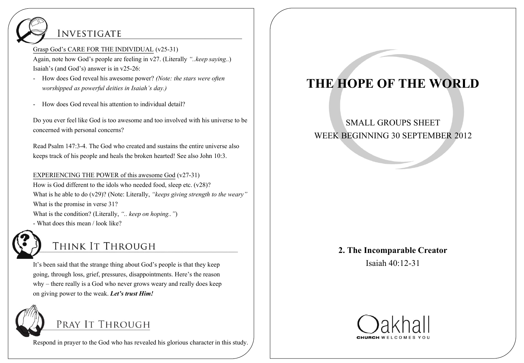## **INVESTIGATE**

Grasp God's CARE FOR THE INDIVIDUAL (v25-31)

Again, note how God's people are feeling in v27. (Literally *"..keep saying..*) Isaiah's (and God's) answer is in v25-26:

- How does God reveal his awesome power? *(Note: the stars were often worshipped as powerful deities in Isaiah's day.)*
- How does God reveal his attention to individual detail?

Do you ever feel like God is too awesome and too involved with his universe to be concerned with personal concerns?

Read Psalm 147:3-4. The God who created and sustains the entire universe also keeps track of his people and heals the broken hearted! See also John 10:3.

EXPERIENCING THE POWER of this awesome God (v27-31) How is God different to the idols who needed food, sleep etc. (v28)? What is he able to do (v29)? (Note: Literally, *"keeps giving strength to the weary"* What is the promise in verse 31? What is the condition? (Literally, *".. keep on hoping.."*) - What does this mean / look like?



## THINK IT THROUGH

It's been said that the strange thing about God's people is that they keep going, through loss, grief, pressures, disappointments. Here's the reason why – there really is a God who never grows weary and really does keep on giving power to the weak. *Let's trust Him!*



Respond in prayer to the God who has revealed his glorious character in this study.

# **THE HOPE OF THE WORLD**

### SMALL GROUPS SHEET WEEK BEGINNING 30 SEPTEMBER 2012

#### **2. The Incomparable Creator**

Isaiah 40:12-31